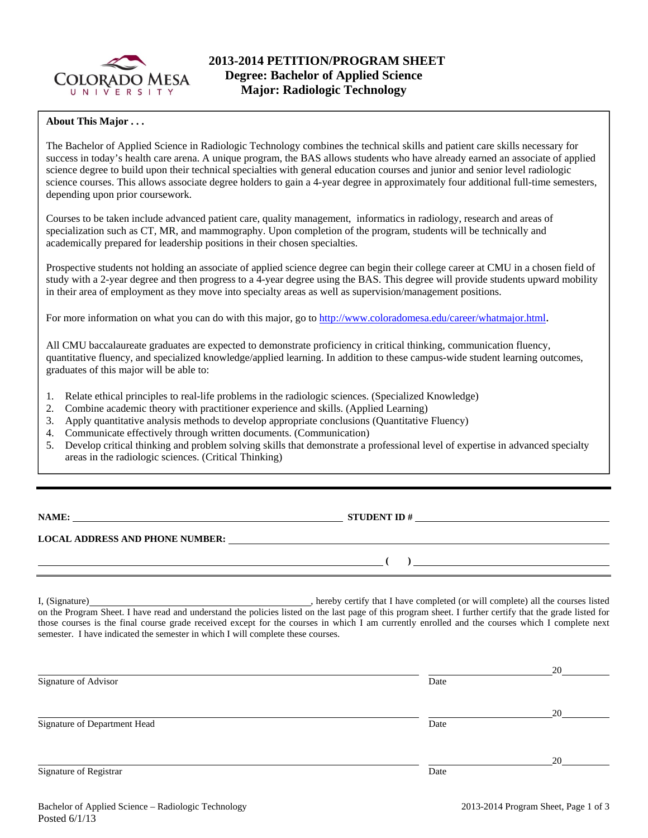

# **About This Major . . .**

The Bachelor of Applied Science in Radiologic Technology combines the technical skills and patient care skills necessary for success in today's health care arena. A unique program, the BAS allows students who have already earned an associate of applied science degree to build upon their technical specialties with general education courses and junior and senior level radiologic science courses. This allows associate degree holders to gain a 4-year degree in approximately four additional full-time semesters, depending upon prior coursework.

Courses to be taken include advanced patient care, quality management, informatics in radiology, research and areas of specialization such as CT, MR, and mammography. Upon completion of the program, students will be technically and academically prepared for leadership positions in their chosen specialties.

Prospective students not holding an associate of applied science degree can begin their college career at CMU in a chosen field of study with a 2-year degree and then progress to a 4-year degree using the BAS. This degree will provide students upward mobility in their area of employment as they move into specialty areas as well as supervision/management positions.

For more information on what you can do with this major, go to http://www.coloradomesa.edu/career/whatmajor.html.

All CMU baccalaureate graduates are expected to demonstrate proficiency in critical thinking, communication fluency, quantitative fluency, and specialized knowledge/applied learning. In addition to these campus-wide student learning outcomes, graduates of this major will be able to:

- 1. Relate ethical principles to real-life problems in the radiologic sciences. (Specialized Knowledge)
- 2. Combine academic theory with practitioner experience and skills. (Applied Learning)
- 3. Apply quantitative analysis methods to develop appropriate conclusions (Quantitative Fluency)
- 4. Communicate effectively through written documents. (Communication)
- 5. Develop critical thinking and problem solving skills that demonstrate a professional level of expertise in advanced specialty areas in the radiologic sciences. (Critical Thinking)

**NAMES IN STUDENT ID #** 

 **( )** 

**LOCAL ADDRESS AND PHONE NUMBER:**

I, (Signature) **Solution** , hereby certify that I have completed (or will complete) all the courses listed on the Program Sheet. I have read and understand the policies listed on the last page of this program sheet. I further certify that the grade listed for those courses is the final course grade received except for the courses in which I am currently enrolled and the courses which I complete next semester. I have indicated the semester in which I will complete these courses.

|                              |      | 20 |
|------------------------------|------|----|
| Signature of Advisor         | Date |    |
|                              |      |    |
|                              |      | 20 |
| Signature of Department Head | Date |    |
|                              |      |    |
|                              |      | 20 |
| Signature of Registrar       | Date |    |
|                              |      |    |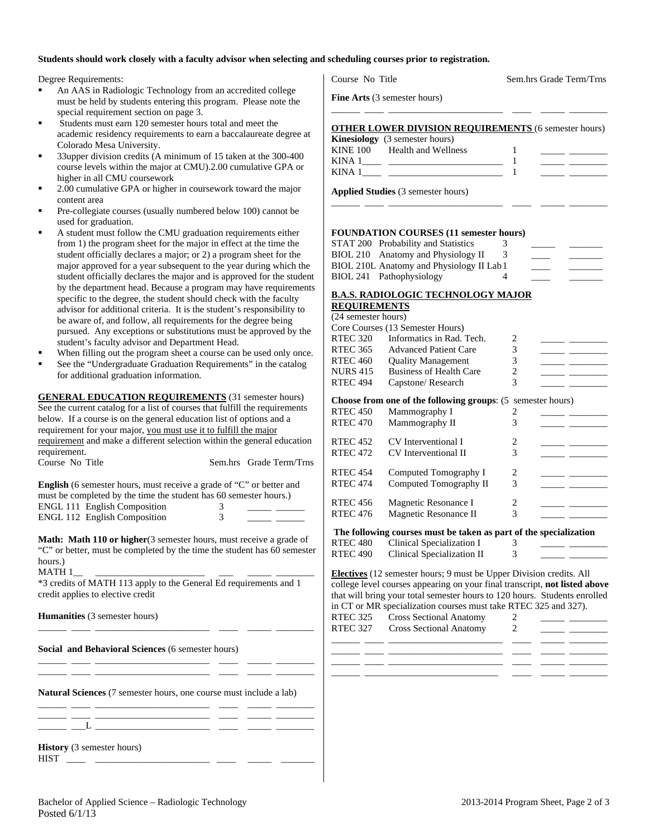#### **Students should work closely with a faculty advisor when selecting and scheduling courses prior to registration.**

Degree Requirements:

- An AAS in Radiologic Technology from an accredited college must be held by students entering this program. Please note the special requirement section on page 3.
- Students must earn 120 semester hours total and meet the academic residency requirements to earn a baccalaureate degree at Colorado Mesa University.
- 33upper division credits (A minimum of 15 taken at the 300-400 course levels within the major at CMU).2.00 cumulative GPA or higher in all CMU coursework
- 2.00 cumulative GPA or higher in coursework toward the major content area
- Pre-collegiate courses (usually numbered below 100) cannot be used for graduation.
- A student must follow the CMU graduation requirements either from 1) the program sheet for the major in effect at the time the student officially declares a major; or 2) a program sheet for the major approved for a year subsequent to the year during which the student officially declares the major and is approved for the student by the department head. Because a program may have requirements specific to the degree, the student should check with the faculty advisor for additional criteria. It is the student's responsibility to be aware of, and follow, all requirements for the degree being pursued. Any exceptions or substitutions must be approved by the student's faculty advisor and Department Head.
- When filling out the program sheet a course can be used only once.
- See the "Undergraduate Graduation Requirements" in the catalog for additional graduation information.

| <b>GENERAL EDUCATION REQUIREMENTS</b> (31 semester hours)                                                                                                         |               |                         |
|-------------------------------------------------------------------------------------------------------------------------------------------------------------------|---------------|-------------------------|
| See the current catalog for a list of courses that fulfill the requirements                                                                                       |               |                         |
| below. If a course is on the general education list of options and a                                                                                              |               |                         |
| requirement for your major, you must use it to fulfill the major                                                                                                  |               |                         |
| requirement and make a different selection within the general education                                                                                           |               |                         |
| requirement.                                                                                                                                                      |               |                         |
| Course No Title                                                                                                                                                   |               | Sem.hrs Grade Term/Trns |
|                                                                                                                                                                   |               |                         |
| <b>English</b> (6 semester hours, must receive a grade of "C" or better and                                                                                       |               |                         |
| must be completed by the time the student has 60 semester hours.)                                                                                                 |               |                         |
| <b>ENGL 111 English Composition</b>                                                                                                                               | 3             |                         |
| <b>ENGL 112 English Composition</b>                                                                                                                               | $\mathcal{E}$ |                         |
|                                                                                                                                                                   |               |                         |
| <b>Math: Math 110 or higher</b> (3 semester hours, must receive a grade of<br>"C" or better, must be completed by the time the student has 60 semester<br>hours.) |               |                         |
| *3 credits of MATH 113 apply to the General Ed requirements and 1<br>credit applies to elective credit                                                            |               |                         |
| <b>Humanities</b> (3 semester hours)                                                                                                                              |               |                         |

**Natural Sciences** (7 semester hours, one course must include a lab)

\_\_\_\_\_\_ \_\_\_\_ \_\_\_\_\_\_\_\_\_\_\_\_\_\_\_\_\_\_\_\_\_\_\_\_ \_\_\_\_ \_\_\_\_\_ \_\_\_\_\_\_\_\_

\_\_\_\_\_\_ \_\_\_\_ \_\_\_\_\_\_\_\_\_\_\_\_\_\_\_\_\_\_\_\_\_\_\_\_ \_\_\_\_ \_\_\_\_\_ \_\_\_\_\_\_\_\_  $\_\_\_\_$   $\_$ 

**History** (3 semester hours)

| <b>TITOL</b> |  |  |  |
|--------------|--|--|--|
| 1 I I V 1    |  |  |  |

Course No Title Sem.hrs Grade Term/Trns

**Fine Arts** (3 semester hours)

# \_\_\_\_\_\_ \_\_\_\_ \_\_\_\_\_\_\_\_\_\_\_\_\_\_\_\_\_\_\_\_\_\_\_\_ \_\_\_\_ \_\_\_\_\_ \_\_\_\_\_\_\_\_ **OTHER LOWER DIVISION REQUIREMENTS** (6 semester hours)

|          | <b>Kinesiology</b> (3 semester hours) |  |
|----------|---------------------------------------|--|
| KINE 100 | Health and Wellness                   |  |
| KINA 1   |                                       |  |
| KINA 1   |                                       |  |

\_\_\_\_\_\_ \_\_\_\_ \_\_\_\_\_\_\_\_\_\_\_\_\_\_\_\_\_\_\_\_\_\_\_\_ \_\_\_\_ \_\_\_\_\_ \_\_\_\_\_\_\_\_

**Applied Studies** (3 semester hours)

## **FOUNDATION COURSES (11 semester hours)**

| 3                                         |  |
|-------------------------------------------|--|
|                                           |  |
| BIOL 210L Anatomy and Physiology II Lab 1 |  |
|                                           |  |
|                                           |  |

#### **B.A.S. RADIOLOGIC TECHNOLOGY MAJOR REQUIREMENTS**

| (24 semester hours) |                                                                    |                               |  |
|---------------------|--------------------------------------------------------------------|-------------------------------|--|
|                     | Core Courses (13 Semester Hours)                                   |                               |  |
| RTEC 320            | Informatics in Rad. Tech.                                          | 2                             |  |
| RTEC 365            | <b>Advanced Patient Care</b>                                       | 3                             |  |
| <b>RTEC 460</b>     | <b>Quality Management</b>                                          | 3                             |  |
| <b>NURS 415</b>     | <b>Business of Health Care</b>                                     | 2                             |  |
| <b>RTEC 494</b>     | Capstone/Research                                                  | 3                             |  |
|                     | <b>Choose from one of the following groups:</b> (5 semester hours) |                               |  |
| <b>RTEC 450</b>     | Mammography I                                                      | $\overline{2}$                |  |
| <b>RTEC 470</b>     | Mammography II                                                     | 3                             |  |
| RTEC 452            | CV Interventional I                                                | $\mathfrak{D}_{\mathfrak{p}}$ |  |
| <b>RTEC 472</b>     | <b>CV</b> Interventional II                                        | 3                             |  |
| <b>RTEC 454</b>     | Computed Tomography I                                              | 2                             |  |
| <b>RTEC 474</b>     | Computed Tomography II                                             | 3                             |  |
| <b>RTEC 456</b>     | Magnetic Resonance I                                               | 2                             |  |
| <b>RTEC 476</b>     | Magnetic Resonance II                                              | 3                             |  |
|                     | The following courses must be taken as part of the specialization  |                               |  |

**The following courses must be taken as part of the specialization** 

RTEC 480 Clinical Specialization I 3 \_\_\_\_\_ \_\_\_\_\_\_\_\_ RTEC 490 Clinical Specialization II 3 \_\_\_\_\_ \_\_\_\_\_\_\_\_

**Electives** (12 semester hours; 9 must be Upper Division credits. All college level courses appearing on your final transcript, **not listed above** that will bring your total semester hours to 120 hours. Students enrolled in CT or MR specialization courses must take RTEC 325 and 327).

| RTEC 325 | <b>Cross Sectional Anatomy</b><br>RTEC 327 Cross Sectional Anatomy | $\mathcal{L}$ |  |
|----------|--------------------------------------------------------------------|---------------|--|
|          |                                                                    |               |  |
|          |                                                                    |               |  |